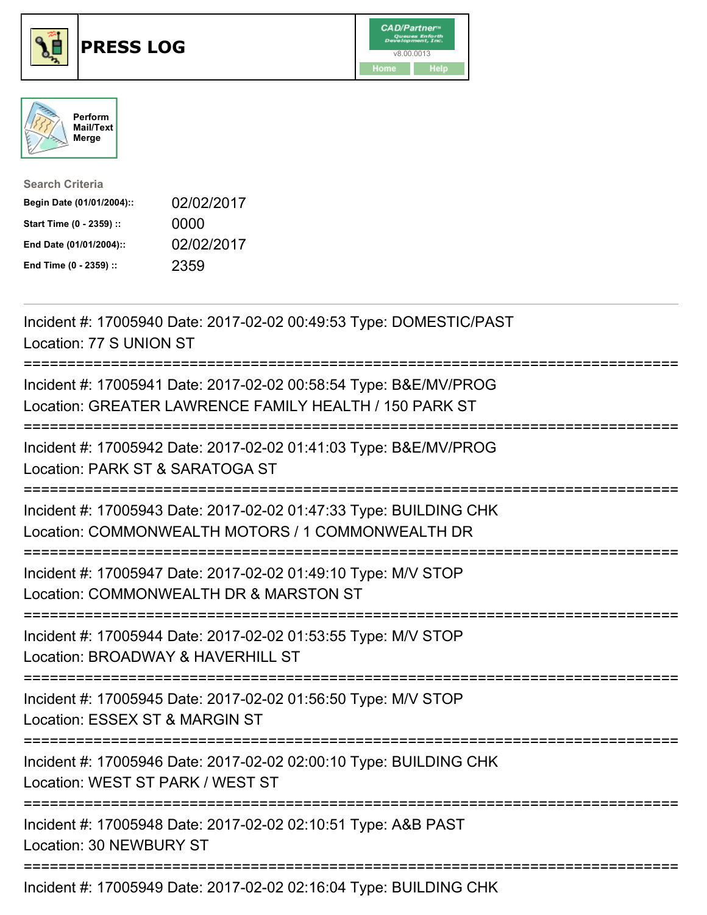





| <b>Search Criteria</b>    |            |
|---------------------------|------------|
| Begin Date (01/01/2004):: | 02/02/2017 |
| Start Time (0 - 2359) ::  | 0000       |
| End Date (01/01/2004)::   | 02/02/2017 |
| End Time (0 - 2359) ::    | 2359       |

| Incident #: 17005940 Date: 2017-02-02 00:49:53 Type: DOMESTIC/PAST<br>Location: 77 S UNION ST                                                                                                                                                                                                                                                                                        |
|--------------------------------------------------------------------------------------------------------------------------------------------------------------------------------------------------------------------------------------------------------------------------------------------------------------------------------------------------------------------------------------|
| Incident #: 17005941 Date: 2017-02-02 00:58:54 Type: B&E/MV/PROG<br>Location: GREATER LAWRENCE FAMILY HEALTH / 150 PARK ST                                                                                                                                                                                                                                                           |
| Incident #: 17005942 Date: 2017-02-02 01:41:03 Type: B&E/MV/PROG<br>Location: PARK ST & SARATOGA ST                                                                                                                                                                                                                                                                                  |
| Incident #: 17005943 Date: 2017-02-02 01:47:33 Type: BUILDING CHK<br>Location: COMMONWEALTH MOTORS / 1 COMMONWEALTH DR                                                                                                                                                                                                                                                               |
| Incident #: 17005947 Date: 2017-02-02 01:49:10 Type: M/V STOP<br>Location: COMMONWEALTH DR & MARSTON ST<br>:============================                                                                                                                                                                                                                                             |
| Incident #: 17005944 Date: 2017-02-02 01:53:55 Type: M/V STOP<br>Location: BROADWAY & HAVERHILL ST                                                                                                                                                                                                                                                                                   |
| Incident #: 17005945 Date: 2017-02-02 01:56:50 Type: M/V STOP<br>Location: ESSEX ST & MARGIN ST                                                                                                                                                                                                                                                                                      |
| Incident #: 17005946 Date: 2017-02-02 02:00:10 Type: BUILDING CHK<br>Location: WEST ST PARK / WEST ST                                                                                                                                                                                                                                                                                |
| Incident #: 17005948 Date: 2017-02-02 02:10:51 Type: A&B PAST<br>Location: 30 NEWBURY ST                                                                                                                                                                                                                                                                                             |
| $\overline{a}$ $\overline{a}$ $\overline{a}$ $\overline{a}$ $\overline{a}$ $\overline{a}$ $\overline{a}$ $\overline{a}$ $\overline{a}$ $\overline{a}$ $\overline{a}$ $\overline{a}$ $\overline{a}$ $\overline{a}$ $\overline{a}$ $\overline{a}$ $\overline{a}$ $\overline{a}$ $\overline{a}$ $\overline{a}$ $\overline{a}$ $\overline{a}$ $\overline{a}$ $\overline{a}$ $\overline{$ |

Incident #: 17005949 Date: 2017-02-02 02:16:04 Type: BUILDING CHK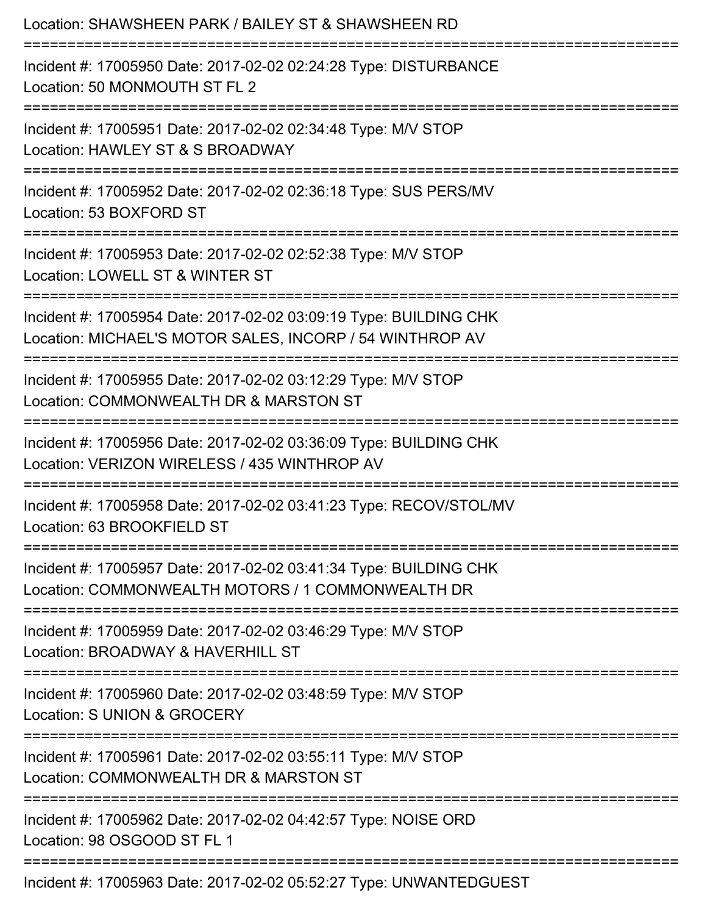| Location: SHAWSHEEN PARK / BAILEY ST & SHAWSHEEN RD                                                                                               |
|---------------------------------------------------------------------------------------------------------------------------------------------------|
| Incident #: 17005950 Date: 2017-02-02 02:24:28 Type: DISTURBANCE<br>Location: 50 MONMOUTH ST FL 2                                                 |
| Incident #: 17005951 Date: 2017-02-02 02:34:48 Type: M/V STOP<br>Location: HAWLEY ST & S BROADWAY                                                 |
| Incident #: 17005952 Date: 2017-02-02 02:36:18 Type: SUS PERS/MV<br>Location: 53 BOXFORD ST                                                       |
| Incident #: 17005953 Date: 2017-02-02 02:52:38 Type: M/V STOP<br>Location: LOWELL ST & WINTER ST                                                  |
| Incident #: 17005954 Date: 2017-02-02 03:09:19 Type: BUILDING CHK<br>Location: MICHAEL'S MOTOR SALES, INCORP / 54 WINTHROP AV                     |
| Incident #: 17005955 Date: 2017-02-02 03:12:29 Type: M/V STOP<br>Location: COMMONWEALTH DR & MARSTON ST<br>=======================                |
| Incident #: 17005956 Date: 2017-02-02 03:36:09 Type: BUILDING CHK<br>Location: VERIZON WIRELESS / 435 WINTHROP AV<br>============================ |
| Incident #: 17005958 Date: 2017-02-02 03:41:23 Type: RECOV/STOL/MV<br>Location: 63 BROOKFIELD ST                                                  |
| Incident #: 17005957 Date: 2017-02-02 03:41:34 Type: BUILDING CHK<br>Location: COMMONWEALTH MOTORS / 1 COMMONWEALTH DR                            |
| Incident #: 17005959 Date: 2017-02-02 03:46:29 Type: M/V STOP<br>Location: BROADWAY & HAVERHILL ST                                                |
| Incident #: 17005960 Date: 2017-02-02 03:48:59 Type: M/V STOP<br>Location: S UNION & GROCERY                                                      |
| Incident #: 17005961 Date: 2017-02-02 03:55:11 Type: M/V STOP<br>Location: COMMONWEALTH DR & MARSTON ST                                           |
| Incident #: 17005962 Date: 2017-02-02 04:42:57 Type: NOISE ORD<br>Location: 98 OSGOOD ST FL 1                                                     |
| Incident #: 17005963 Date: 2017-02-02 05:52:27 Type: UNWANTEDGUEST                                                                                |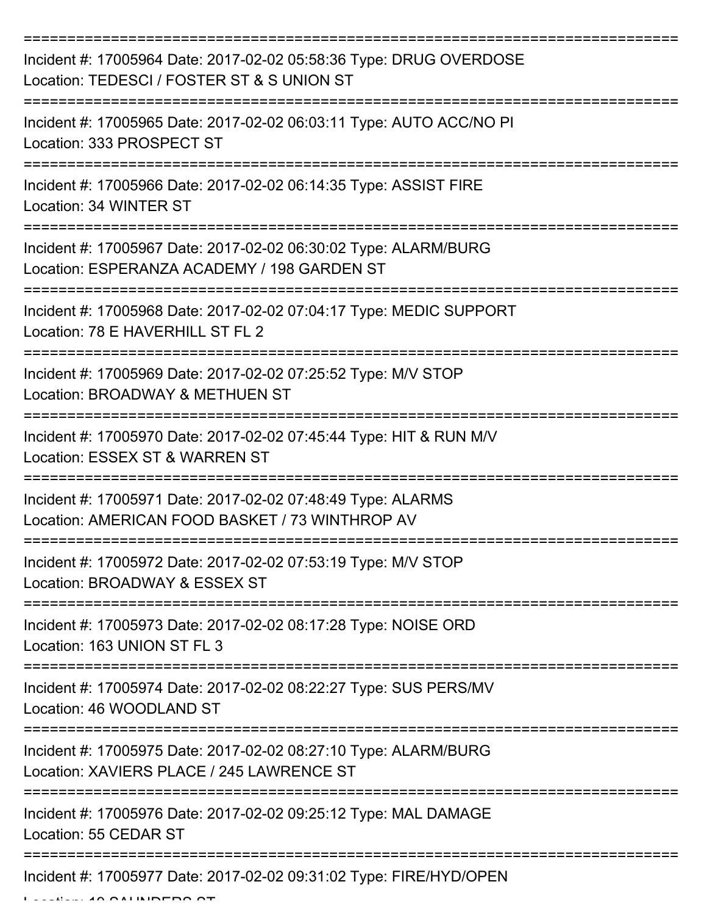| Incident #: 17005964 Date: 2017-02-02 05:58:36 Type: DRUG OVERDOSE<br>Location: TEDESCI / FOSTER ST & S UNION ST |
|------------------------------------------------------------------------------------------------------------------|
| Incident #: 17005965 Date: 2017-02-02 06:03:11 Type: AUTO ACC/NO PI<br>Location: 333 PROSPECT ST                 |
| Incident #: 17005966 Date: 2017-02-02 06:14:35 Type: ASSIST FIRE<br>Location: 34 WINTER ST                       |
| Incident #: 17005967 Date: 2017-02-02 06:30:02 Type: ALARM/BURG<br>Location: ESPERANZA ACADEMY / 198 GARDEN ST   |
| Incident #: 17005968 Date: 2017-02-02 07:04:17 Type: MEDIC SUPPORT<br>Location: 78 E HAVERHILL ST FL 2           |
| Incident #: 17005969 Date: 2017-02-02 07:25:52 Type: M/V STOP<br>Location: BROADWAY & METHUEN ST                 |
| Incident #: 17005970 Date: 2017-02-02 07:45:44 Type: HIT & RUN M/V<br>Location: ESSEX ST & WARREN ST             |
| Incident #: 17005971 Date: 2017-02-02 07:48:49 Type: ALARMS<br>Location: AMERICAN FOOD BASKET / 73 WINTHROP AV   |
| Incident #: 17005972 Date: 2017-02-02 07:53:19 Type: M/V STOP<br>Location: BROADWAY & ESSEX ST                   |
| Incident #: 17005973 Date: 2017-02-02 08:17:28 Type: NOISE ORD<br>Location: 163 UNION ST FL 3                    |
| Incident #: 17005974 Date: 2017-02-02 08:22:27 Type: SUS PERS/MV<br>Location: 46 WOODLAND ST                     |
| Incident #: 17005975 Date: 2017-02-02 08:27:10 Type: ALARM/BURG<br>Location: XAVIERS PLACE / 245 LAWRENCE ST     |
| Incident #: 17005976 Date: 2017-02-02 09:25:12 Type: MAL DAMAGE<br>Location: 55 CEDAR ST                         |
| Incident #: 17005977 Date: 2017-02-02 09:31:02 Type: FIRE/HYD/OPEN                                               |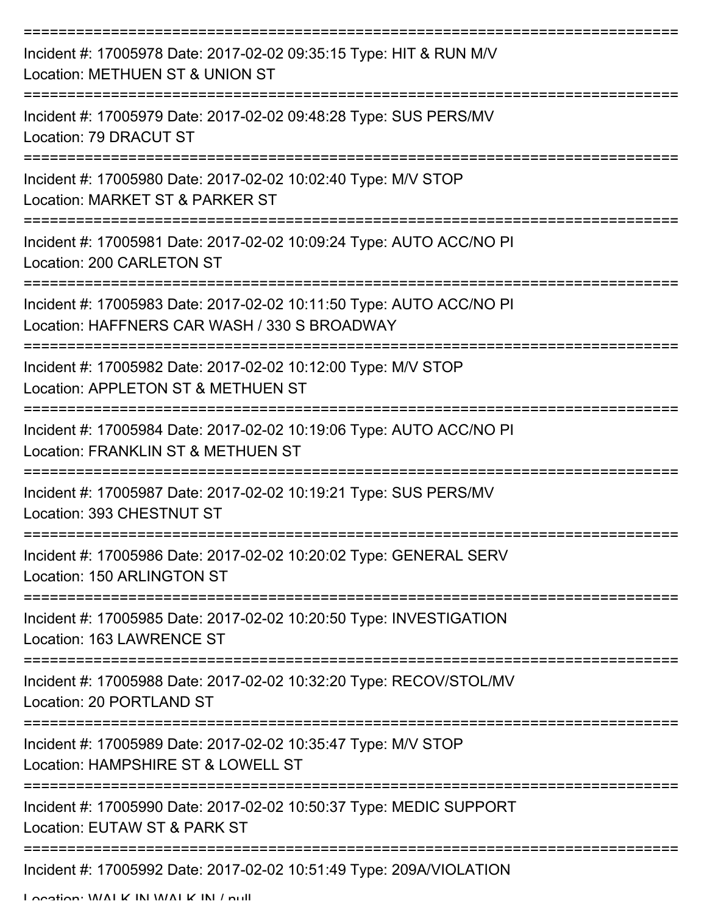| Incident #: 17005978 Date: 2017-02-02 09:35:15 Type: HIT & RUN M/V<br>Location: METHUEN ST & UNION ST               |
|---------------------------------------------------------------------------------------------------------------------|
| Incident #: 17005979 Date: 2017-02-02 09:48:28 Type: SUS PERS/MV<br>Location: 79 DRACUT ST                          |
| Incident #: 17005980 Date: 2017-02-02 10:02:40 Type: M/V STOP<br>Location: MARKET ST & PARKER ST                    |
| Incident #: 17005981 Date: 2017-02-02 10:09:24 Type: AUTO ACC/NO PI<br>Location: 200 CARLETON ST                    |
| Incident #: 17005983 Date: 2017-02-02 10:11:50 Type: AUTO ACC/NO PI<br>Location: HAFFNERS CAR WASH / 330 S BROADWAY |
| Incident #: 17005982 Date: 2017-02-02 10:12:00 Type: M/V STOP<br>Location: APPLETON ST & METHUEN ST                 |
| Incident #: 17005984 Date: 2017-02-02 10:19:06 Type: AUTO ACC/NO PI<br>Location: FRANKLIN ST & METHUEN ST           |
| Incident #: 17005987 Date: 2017-02-02 10:19:21 Type: SUS PERS/MV<br>Location: 393 CHESTNUT ST                       |
| Incident #: 17005986 Date: 2017-02-02 10:20:02 Type: GENERAL SERV<br>Location: 150 ARLINGTON ST                     |
| Incident #: 17005985 Date: 2017-02-02 10:20:50 Type: INVESTIGATION<br>Location: 163 LAWRENCE ST                     |
| Incident #: 17005988 Date: 2017-02-02 10:32:20 Type: RECOV/STOL/MV<br>Location: 20 PORTLAND ST                      |
| Incident #: 17005989 Date: 2017-02-02 10:35:47 Type: M/V STOP<br>Location: HAMPSHIRE ST & LOWELL ST                 |
| Incident #: 17005990 Date: 2017-02-02 10:50:37 Type: MEDIC SUPPORT<br>Location: EUTAW ST & PARK ST                  |
| Incident #: 17005992 Date: 2017-02-02 10:51:49 Type: 209A/VIOLATION                                                 |

Location: WALK IN WALK IN / null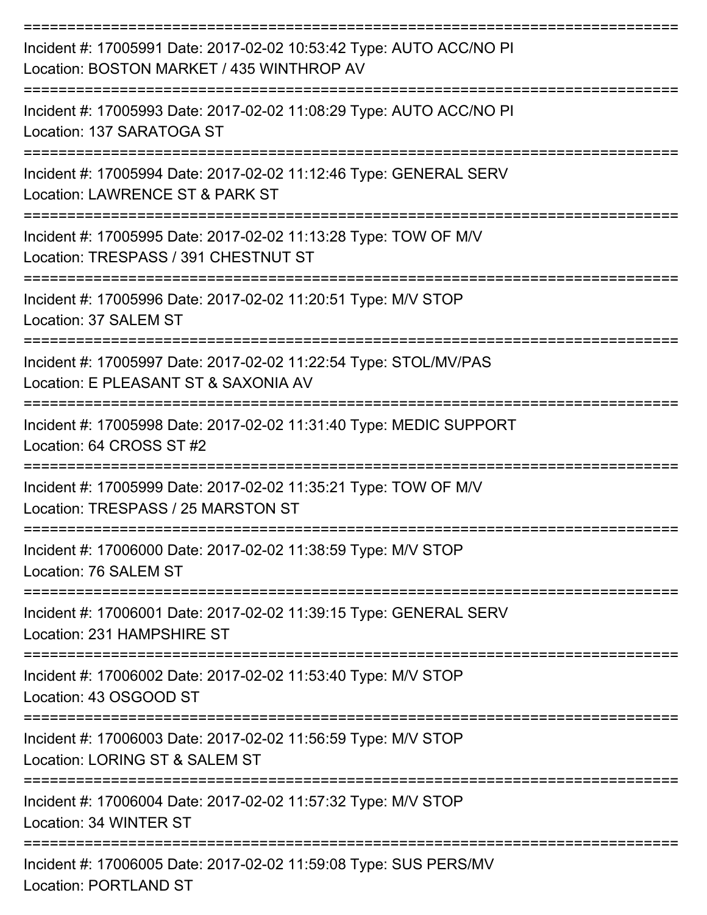| Incident #: 17005991 Date: 2017-02-02 10:53:42 Type: AUTO ACC/NO PI<br>Location: BOSTON MARKET / 435 WINTHROP AV |
|------------------------------------------------------------------------------------------------------------------|
| Incident #: 17005993 Date: 2017-02-02 11:08:29 Type: AUTO ACC/NO PI<br>Location: 137 SARATOGA ST                 |
| Incident #: 17005994 Date: 2017-02-02 11:12:46 Type: GENERAL SERV<br>Location: LAWRENCE ST & PARK ST             |
| Incident #: 17005995 Date: 2017-02-02 11:13:28 Type: TOW OF M/V<br>Location: TRESPASS / 391 CHESTNUT ST          |
| Incident #: 17005996 Date: 2017-02-02 11:20:51 Type: M/V STOP<br>Location: 37 SALEM ST                           |
| Incident #: 17005997 Date: 2017-02-02 11:22:54 Type: STOL/MV/PAS<br>Location: E PLEASANT ST & SAXONIA AV         |
| Incident #: 17005998 Date: 2017-02-02 11:31:40 Type: MEDIC SUPPORT<br>Location: 64 CROSS ST #2                   |
| Incident #: 17005999 Date: 2017-02-02 11:35:21 Type: TOW OF M/V<br>Location: TRESPASS / 25 MARSTON ST            |
| Incident #: 17006000 Date: 2017-02-02 11:38:59 Type: M/V STOP<br>Location: 76 SALEM ST<br>==================     |
| Incident #: 17006001 Date: 2017-02-02 11:39:15 Type: GENERAL SERV<br>Location: 231 HAMPSHIRE ST                  |
| Incident #: 17006002 Date: 2017-02-02 11:53:40 Type: M/V STOP<br>Location: 43 OSGOOD ST                          |
| Incident #: 17006003 Date: 2017-02-02 11:56:59 Type: M/V STOP<br>Location: LORING ST & SALEM ST                  |
| Incident #: 17006004 Date: 2017-02-02 11:57:32 Type: M/V STOP<br>Location: 34 WINTER ST                          |
| Incident #: 17006005 Date: 2017-02-02 11:59:08 Type: SUS PERS/MV<br><b>Location: PORTLAND ST</b>                 |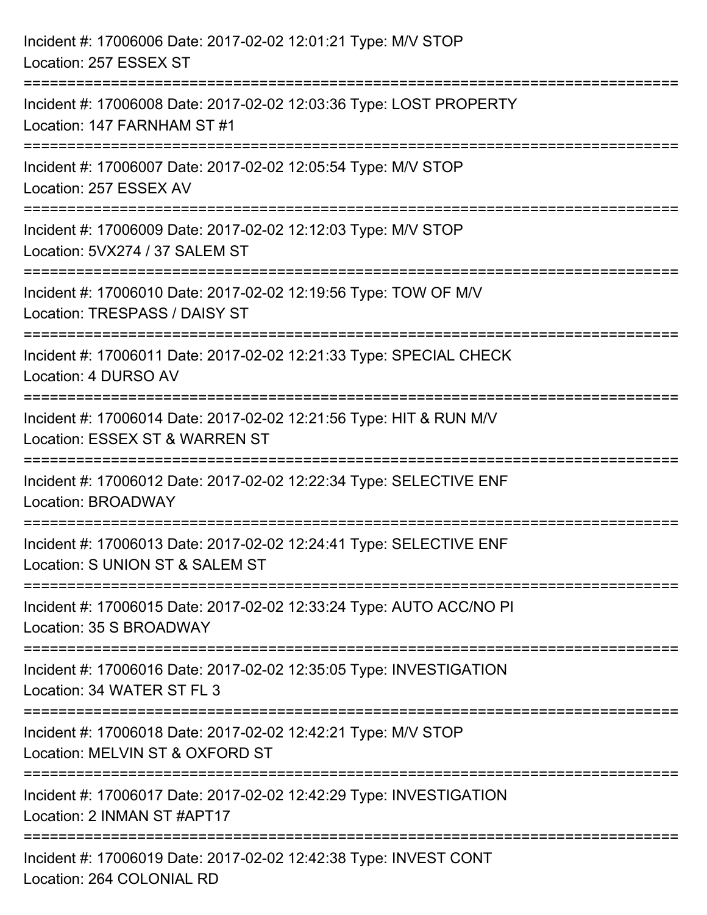| Incident #: 17006006 Date: 2017-02-02 12:01:21 Type: M/V STOP<br>Location: 257 ESSEX ST                                         |
|---------------------------------------------------------------------------------------------------------------------------------|
| Incident #: 17006008 Date: 2017-02-02 12:03:36 Type: LOST PROPERTY<br>Location: 147 FARNHAM ST #1                               |
| Incident #: 17006007 Date: 2017-02-02 12:05:54 Type: M/V STOP<br>Location: 257 ESSEX AV                                         |
| ============================<br>Incident #: 17006009 Date: 2017-02-02 12:12:03 Type: M/V STOP<br>Location: 5VX274 / 37 SALEM ST |
| Incident #: 17006010 Date: 2017-02-02 12:19:56 Type: TOW OF M/V<br>Location: TRESPASS / DAISY ST                                |
| Incident #: 17006011 Date: 2017-02-02 12:21:33 Type: SPECIAL CHECK<br>Location: 4 DURSO AV                                      |
| Incident #: 17006014 Date: 2017-02-02 12:21:56 Type: HIT & RUN M/V<br>Location: ESSEX ST & WARREN ST                            |
| Incident #: 17006012 Date: 2017-02-02 12:22:34 Type: SELECTIVE ENF<br>Location: BROADWAY                                        |
| Incident #: 17006013 Date: 2017-02-02 12:24:41 Type: SELECTIVE ENF<br>Location: S UNION ST & SALEM ST                           |
| Incident #: 17006015 Date: 2017-02-02 12:33:24 Type: AUTO ACC/NO PI<br>Location: 35 S BROADWAY                                  |
| Incident #: 17006016 Date: 2017-02-02 12:35:05 Type: INVESTIGATION<br>Location: 34 WATER ST FL 3                                |
| Incident #: 17006018 Date: 2017-02-02 12:42:21 Type: M/V STOP<br>Location: MELVIN ST & OXFORD ST                                |
| Incident #: 17006017 Date: 2017-02-02 12:42:29 Type: INVESTIGATION<br>Location: 2 INMAN ST #APT17                               |
| Incident #: 17006019 Date: 2017-02-02 12:42:38 Type: INVEST CONT<br>Location: 264 COLONIAL RD                                   |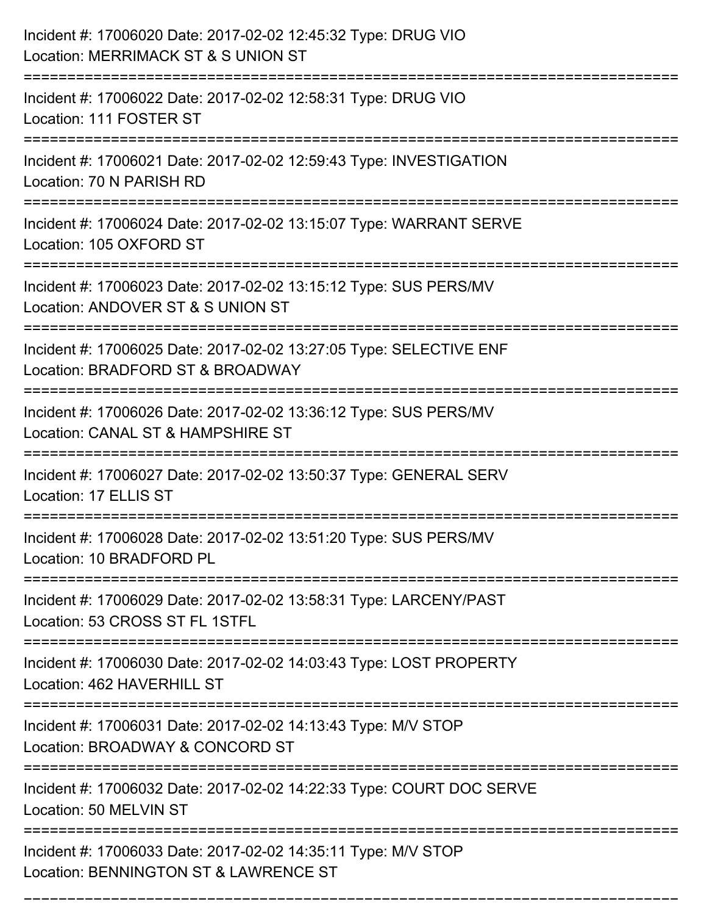| Incident #: 17006020 Date: 2017-02-02 12:45:32 Type: DRUG VIO<br>Location: MERRIMACK ST & S UNION ST                                |
|-------------------------------------------------------------------------------------------------------------------------------------|
| Incident #: 17006022 Date: 2017-02-02 12:58:31 Type: DRUG VIO<br>Location: 111 FOSTER ST                                            |
| Incident #: 17006021 Date: 2017-02-02 12:59:43 Type: INVESTIGATION<br>Location: 70 N PARISH RD                                      |
| Incident #: 17006024 Date: 2017-02-02 13:15:07 Type: WARRANT SERVE<br>Location: 105 OXFORD ST                                       |
| Incident #: 17006023 Date: 2017-02-02 13:15:12 Type: SUS PERS/MV<br>Location: ANDOVER ST & S UNION ST                               |
| Incident #: 17006025 Date: 2017-02-02 13:27:05 Type: SELECTIVE ENF<br>Location: BRADFORD ST & BROADWAY<br>:======================== |
| Incident #: 17006026 Date: 2017-02-02 13:36:12 Type: SUS PERS/MV<br>Location: CANAL ST & HAMPSHIRE ST                               |
| Incident #: 17006027 Date: 2017-02-02 13:50:37 Type: GENERAL SERV<br>Location: 17 ELLIS ST                                          |
| Incident #: 17006028 Date: 2017-02-02 13:51:20 Type: SUS PERS/MV<br>Location: 10 BRADFORD PL                                        |
| Incident #: 17006029 Date: 2017-02-02 13:58:31 Type: LARCENY/PAST<br>Location: 53 CROSS ST FL 1STFL                                 |
| Incident #: 17006030 Date: 2017-02-02 14:03:43 Type: LOST PROPERTY<br>Location: 462 HAVERHILL ST                                    |
| Incident #: 17006031 Date: 2017-02-02 14:13:43 Type: M/V STOP<br>Location: BROADWAY & CONCORD ST                                    |
| Incident #: 17006032 Date: 2017-02-02 14:22:33 Type: COURT DOC SERVE<br>Location: 50 MELVIN ST                                      |
| Incident #: 17006033 Date: 2017-02-02 14:35:11 Type: M/V STOP<br>Location: BENNINGTON ST & LAWRENCE ST                              |

===========================================================================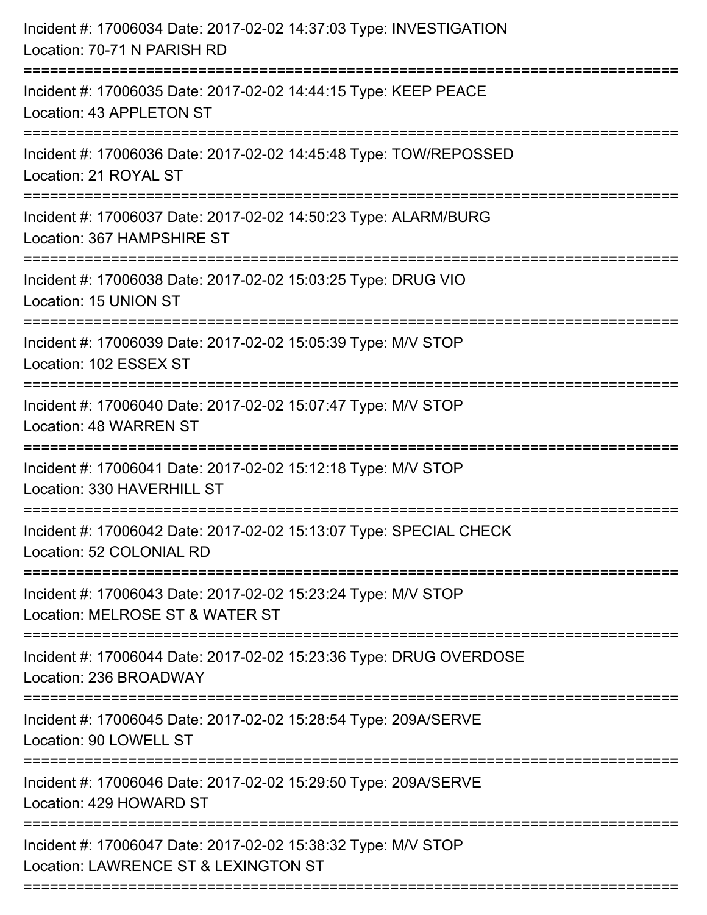| Incident #: 17006034 Date: 2017-02-02 14:37:03 Type: INVESTIGATION<br>Location: 70-71 N PARISH RD                               |
|---------------------------------------------------------------------------------------------------------------------------------|
| Incident #: 17006035 Date: 2017-02-02 14:44:15 Type: KEEP PEACE<br>Location: 43 APPLETON ST                                     |
| Incident #: 17006036 Date: 2017-02-02 14:45:48 Type: TOW/REPOSSED<br>Location: 21 ROYAL ST                                      |
| Incident #: 17006037 Date: 2017-02-02 14:50:23 Type: ALARM/BURG<br>Location: 367 HAMPSHIRE ST                                   |
| Incident #: 17006038 Date: 2017-02-02 15:03:25 Type: DRUG VIO<br>Location: 15 UNION ST<br>================================      |
| Incident #: 17006039 Date: 2017-02-02 15:05:39 Type: M/V STOP<br>Location: 102 ESSEX ST                                         |
| Incident #: 17006040 Date: 2017-02-02 15:07:47 Type: M/V STOP<br><b>Location: 48 WARREN ST</b>                                  |
| Incident #: 17006041 Date: 2017-02-02 15:12:18 Type: M/V STOP<br>Location: 330 HAVERHILL ST                                     |
| Incident #: 17006042 Date: 2017-02-02 15:13:07 Type: SPECIAL CHECK<br>Location: 52 COLONIAL RD<br>=================             |
| ===========================<br>Incident #: 17006043 Date: 2017-02-02 15:23:24 Type: M/V STOP<br>Location: MELROSE ST & WATER ST |
| Incident #: 17006044 Date: 2017-02-02 15:23:36 Type: DRUG OVERDOSE<br>Location: 236 BROADWAY                                    |
| Incident #: 17006045 Date: 2017-02-02 15:28:54 Type: 209A/SERVE<br>Location: 90 LOWELL ST                                       |
| Incident #: 17006046 Date: 2017-02-02 15:29:50 Type: 209A/SERVE<br>Location: 429 HOWARD ST                                      |
| Incident #: 17006047 Date: 2017-02-02 15:38:32 Type: M/V STOP<br>Location: LAWRENCE ST & LEXINGTON ST                           |
|                                                                                                                                 |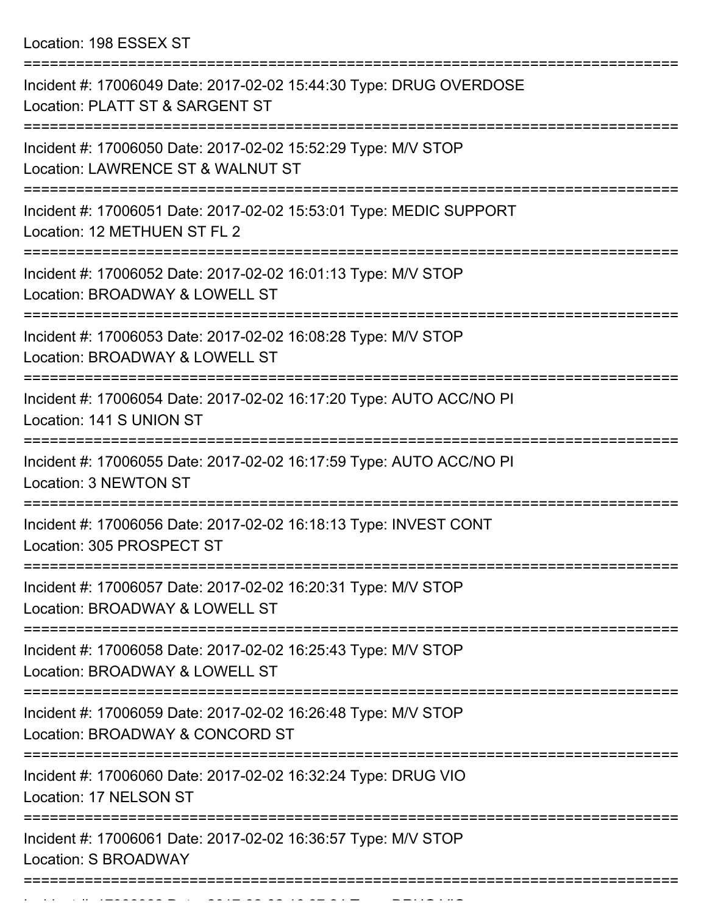Location: 198 ESSEX ST

| Incident #: 17006049 Date: 2017-02-02 15:44:30 Type: DRUG OVERDOSE<br>Location: PLATT ST & SARGENT ST             |
|-------------------------------------------------------------------------------------------------------------------|
| Incident #: 17006050 Date: 2017-02-02 15:52:29 Type: M/V STOP<br>Location: LAWRENCE ST & WALNUT ST                |
| Incident #: 17006051 Date: 2017-02-02 15:53:01 Type: MEDIC SUPPORT<br>Location: 12 METHUEN ST FL 2                |
| Incident #: 17006052 Date: 2017-02-02 16:01:13 Type: M/V STOP<br>Location: BROADWAY & LOWELL ST                   |
| Incident #: 17006053 Date: 2017-02-02 16:08:28 Type: M/V STOP<br>Location: BROADWAY & LOWELL ST                   |
| Incident #: 17006054 Date: 2017-02-02 16:17:20 Type: AUTO ACC/NO PI<br>Location: 141 S UNION ST                   |
| Incident #: 17006055 Date: 2017-02-02 16:17:59 Type: AUTO ACC/NO PI<br>Location: 3 NEWTON ST                      |
| Incident #: 17006056 Date: 2017-02-02 16:18:13 Type: INVEST CONT<br>Location: 305 PROSPECT ST                     |
| ==============<br>Incident #: 17006057 Date: 2017-02-02 16:20:31 Type: M/V STOP<br>Location: BROADWAY & LOWELL ST |
| Incident #: 17006058 Date: 2017-02-02 16:25:43 Type: M/V STOP<br>Location: BROADWAY & LOWELL ST                   |
| Incident #: 17006059 Date: 2017-02-02 16:26:48 Type: M/V STOP<br>Location: BROADWAY & CONCORD ST                  |
| Incident #: 17006060 Date: 2017-02-02 16:32:24 Type: DRUG VIO<br>Location: 17 NELSON ST                           |
| Incident #: 17006061 Date: 2017-02-02 16:36:57 Type: M/V STOP<br>Location: S BROADWAY                             |
|                                                                                                                   |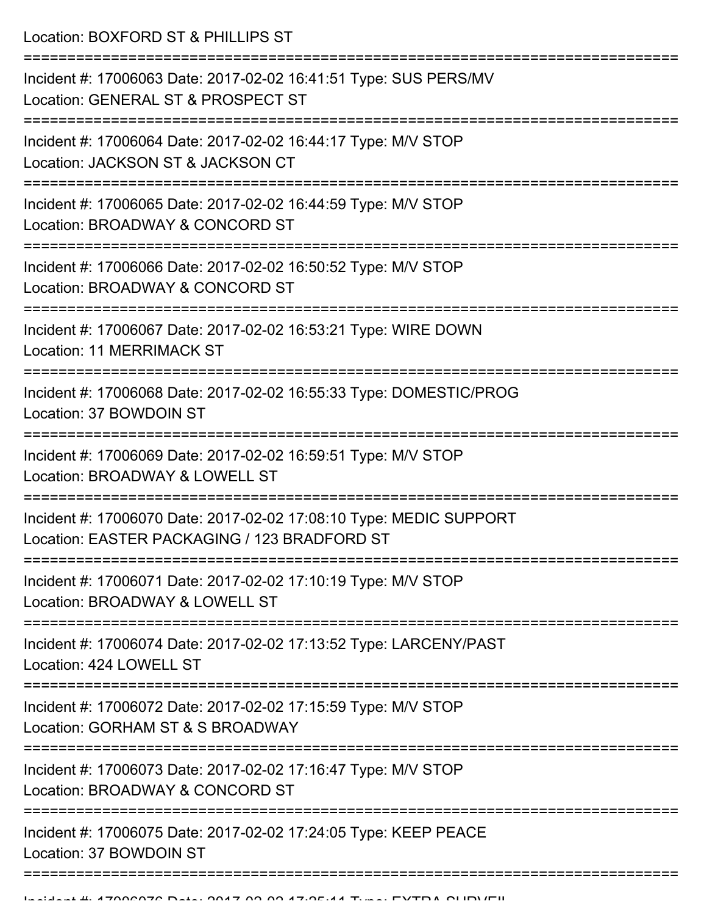Location: BOXFORD ST & PHILLIPS ST

| Incident #: 17006063 Date: 2017-02-02 16:41:51 Type: SUS PERS/MV<br>Location: GENERAL ST & PROSPECT ST             |
|--------------------------------------------------------------------------------------------------------------------|
| Incident #: 17006064 Date: 2017-02-02 16:44:17 Type: M/V STOP<br>Location: JACKSON ST & JACKSON CT                 |
| Incident #: 17006065 Date: 2017-02-02 16:44:59 Type: M/V STOP<br>Location: BROADWAY & CONCORD ST                   |
| Incident #: 17006066 Date: 2017-02-02 16:50:52 Type: M/V STOP<br>Location: BROADWAY & CONCORD ST                   |
| Incident #: 17006067 Date: 2017-02-02 16:53:21 Type: WIRE DOWN<br>Location: 11 MERRIMACK ST                        |
| Incident #: 17006068 Date: 2017-02-02 16:55:33 Type: DOMESTIC/PROG<br>Location: 37 BOWDOIN ST                      |
| Incident #: 17006069 Date: 2017-02-02 16:59:51 Type: M/V STOP<br>Location: BROADWAY & LOWELL ST                    |
| Incident #: 17006070 Date: 2017-02-02 17:08:10 Type: MEDIC SUPPORT<br>Location: EASTER PACKAGING / 123 BRADFORD ST |
| Incident #: 17006071 Date: 2017-02-02 17:10:19 Type: M/V STOP<br>Location: BROADWAY & LOWELL ST                    |
| Incident #: 17006074 Date: 2017-02-02 17:13:52 Type: LARCENY/PAST<br>Location: 424 LOWELL ST                       |
| Incident #: 17006072 Date: 2017-02-02 17:15:59 Type: M/V STOP<br>Location: GORHAM ST & S BROADWAY                  |
| Incident #: 17006073 Date: 2017-02-02 17:16:47 Type: M/V STOP<br>Location: BROADWAY & CONCORD ST                   |
| Incident #: 17006075 Date: 2017-02-02 17:24:05 Type: KEEP PEACE<br>Location: 37 BOWDOIN ST                         |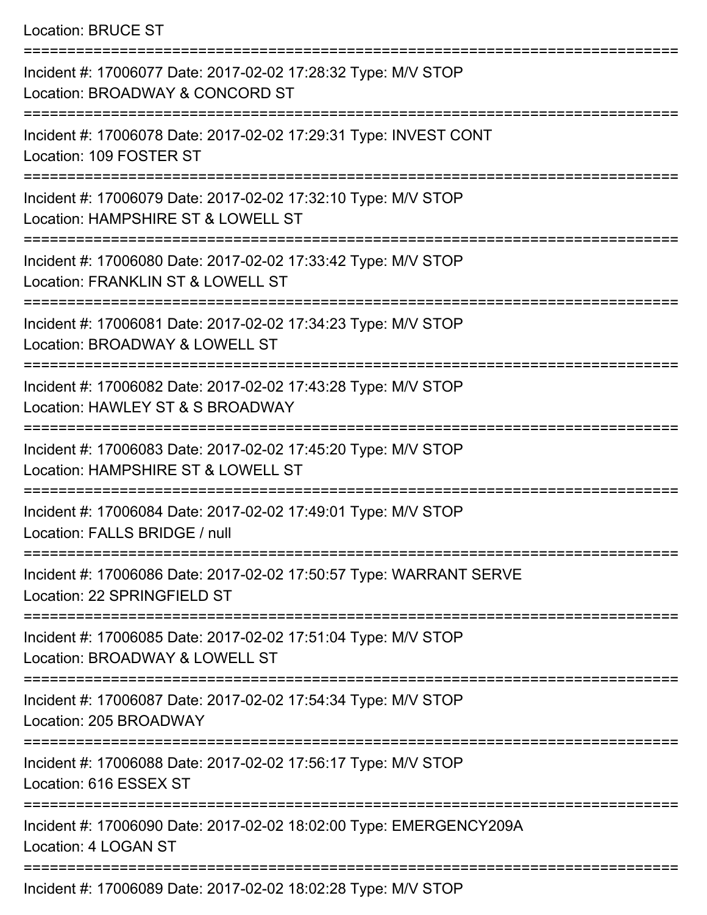## Location: BRUCE ST

| Incident #: 17006077 Date: 2017-02-02 17:28:32 Type: M/V STOP<br>Location: BROADWAY & CONCORD ST    |
|-----------------------------------------------------------------------------------------------------|
| Incident #: 17006078 Date: 2017-02-02 17:29:31 Type: INVEST CONT<br>Location: 109 FOSTER ST         |
| Incident #: 17006079 Date: 2017-02-02 17:32:10 Type: M/V STOP<br>Location: HAMPSHIRE ST & LOWELL ST |
| Incident #: 17006080 Date: 2017-02-02 17:33:42 Type: M/V STOP<br>Location: FRANKLIN ST & LOWELL ST  |
| Incident #: 17006081 Date: 2017-02-02 17:34:23 Type: M/V STOP<br>Location: BROADWAY & LOWELL ST     |
| Incident #: 17006082 Date: 2017-02-02 17:43:28 Type: M/V STOP<br>Location: HAWLEY ST & S BROADWAY   |
| Incident #: 17006083 Date: 2017-02-02 17:45:20 Type: M/V STOP<br>Location: HAMPSHIRE ST & LOWELL ST |
| Incident #: 17006084 Date: 2017-02-02 17:49:01 Type: M/V STOP<br>Location: FALLS BRIDGE / null      |
| Incident #: 17006086 Date: 2017-02-02 17:50:57 Type: WARRANT SERVE<br>Location: 22 SPRINGFIELD ST   |
| Incident #: 17006085 Date: 2017-02-02 17:51:04 Type: M/V STOP<br>Location: BROADWAY & LOWELL ST     |
| Incident #: 17006087 Date: 2017-02-02 17:54:34 Type: M/V STOP<br>Location: 205 BROADWAY             |
| Incident #: 17006088 Date: 2017-02-02 17:56:17 Type: M/V STOP<br>Location: 616 ESSEX ST             |
| Incident #: 17006090 Date: 2017-02-02 18:02:00 Type: EMERGENCY209A<br>Location: 4 LOGAN ST          |
|                                                                                                     |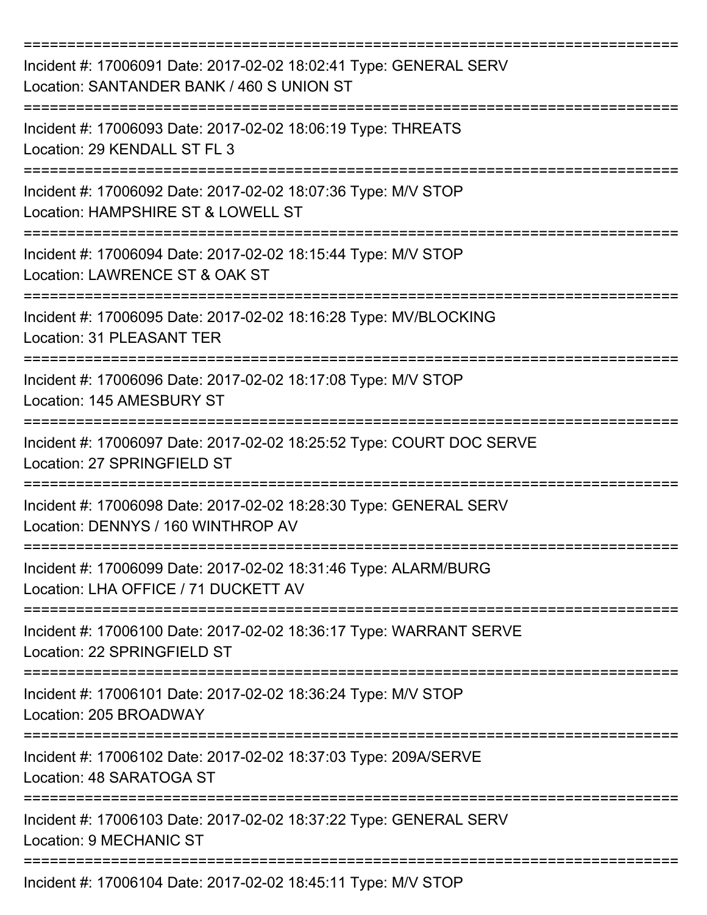| Incident #: 17006091 Date: 2017-02-02 18:02:41 Type: GENERAL SERV<br>Location: SANTANDER BANK / 460 S UNION ST       |
|----------------------------------------------------------------------------------------------------------------------|
| Incident #: 17006093 Date: 2017-02-02 18:06:19 Type: THREATS<br>Location: 29 KENDALL ST FL 3                         |
| Incident #: 17006092 Date: 2017-02-02 18:07:36 Type: M/V STOP<br>Location: HAMPSHIRE ST & LOWELL ST                  |
| Incident #: 17006094 Date: 2017-02-02 18:15:44 Type: M/V STOP<br>Location: LAWRENCE ST & OAK ST                      |
| Incident #: 17006095 Date: 2017-02-02 18:16:28 Type: MV/BLOCKING<br>Location: 31 PLEASANT TER                        |
| Incident #: 17006096 Date: 2017-02-02 18:17:08 Type: M/V STOP<br>Location: 145 AMESBURY ST                           |
| Incident #: 17006097 Date: 2017-02-02 18:25:52 Type: COURT DOC SERVE<br>Location: 27 SPRINGFIELD ST                  |
| =========<br>Incident #: 17006098 Date: 2017-02-02 18:28:30 Type: GENERAL SERV<br>Location: DENNYS / 160 WINTHROP AV |
| Incident #: 17006099 Date: 2017-02-02 18:31:46 Type: ALARM/BURG<br>Location: LHA OFFICE / 71 DUCKETT AV              |
| Incident #: 17006100 Date: 2017-02-02 18:36:17 Type: WARRANT SERVE<br>Location: 22 SPRINGFIELD ST                    |
| Incident #: 17006101 Date: 2017-02-02 18:36:24 Type: M/V STOP<br>Location: 205 BROADWAY                              |
| Incident #: 17006102 Date: 2017-02-02 18:37:03 Type: 209A/SERVE<br>Location: 48 SARATOGA ST                          |
| Incident #: 17006103 Date: 2017-02-02 18:37:22 Type: GENERAL SERV<br>Location: 9 MECHANIC ST                         |
| Incident #: 17006104 Date: 2017-02-02 18:45:11 Type: M/V STOP                                                        |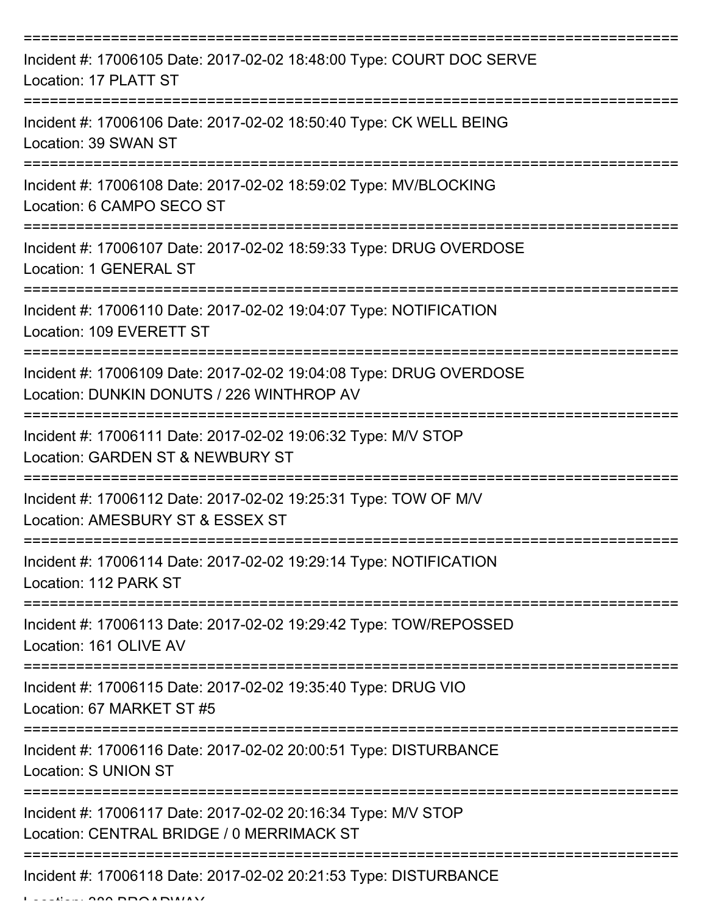| Incident #: 17006105 Date: 2017-02-02 18:48:00 Type: COURT DOC SERVE<br>Location: 17 PLATT ST                   |
|-----------------------------------------------------------------------------------------------------------------|
| Incident #: 17006106 Date: 2017-02-02 18:50:40 Type: CK WELL BEING<br>Location: 39 SWAN ST                      |
| Incident #: 17006108 Date: 2017-02-02 18:59:02 Type: MV/BLOCKING<br>Location: 6 CAMPO SECO ST                   |
| Incident #: 17006107 Date: 2017-02-02 18:59:33 Type: DRUG OVERDOSE<br>Location: 1 GENERAL ST                    |
| Incident #: 17006110 Date: 2017-02-02 19:04:07 Type: NOTIFICATION<br>Location: 109 EVERETT ST                   |
| Incident #: 17006109 Date: 2017-02-02 19:04:08 Type: DRUG OVERDOSE<br>Location: DUNKIN DONUTS / 226 WINTHROP AV |
| Incident #: 17006111 Date: 2017-02-02 19:06:32 Type: M/V STOP<br>Location: GARDEN ST & NEWBURY ST               |
| Incident #: 17006112 Date: 2017-02-02 19:25:31 Type: TOW OF M/V<br>Location: AMESBURY ST & ESSEX ST             |
| Incident #: 17006114 Date: 2017-02-02 19:29:14 Type: NOTIFICATION<br>Location: 112 PARK ST                      |
| Incident #: 17006113 Date: 2017-02-02 19:29:42 Type: TOW/REPOSSED<br>Location: 161 OLIVE AV                     |
| Incident #: 17006115 Date: 2017-02-02 19:35:40 Type: DRUG VIO<br>Location: 67 MARKET ST #5                      |
| Incident #: 17006116 Date: 2017-02-02 20:00:51 Type: DISTURBANCE<br><b>Location: S UNION ST</b>                 |
| Incident #: 17006117 Date: 2017-02-02 20:16:34 Type: M/V STOP<br>Location: CENTRAL BRIDGE / 0 MERRIMACK ST      |
| Incident #: 17006118 Date: 2017-02-02 20:21:53 Type: DISTURBANCE                                                |

 $L = LL$ , 380 BROADWAY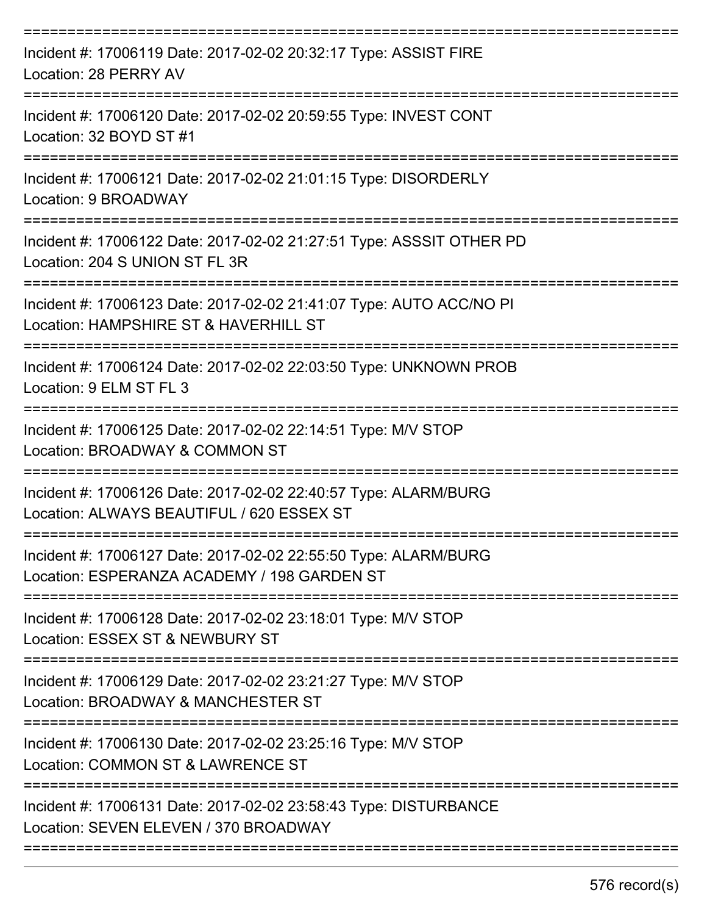| Incident #: 17006119 Date: 2017-02-02 20:32:17 Type: ASSIST FIRE<br>Location: 28 PERRY AV                      |
|----------------------------------------------------------------------------------------------------------------|
| Incident #: 17006120 Date: 2017-02-02 20:59:55 Type: INVEST CONT<br>Location: 32 BOYD ST #1                    |
| Incident #: 17006121 Date: 2017-02-02 21:01:15 Type: DISORDERLY<br>Location: 9 BROADWAY                        |
| Incident #: 17006122 Date: 2017-02-02 21:27:51 Type: ASSSIT OTHER PD<br>Location: 204 S UNION ST FL 3R         |
| Incident #: 17006123 Date: 2017-02-02 21:41:07 Type: AUTO ACC/NO PI<br>Location: HAMPSHIRE ST & HAVERHILL ST   |
| Incident #: 17006124 Date: 2017-02-02 22:03:50 Type: UNKNOWN PROB<br>Location: 9 ELM ST FL 3                   |
| Incident #: 17006125 Date: 2017-02-02 22:14:51 Type: M/V STOP<br>Location: BROADWAY & COMMON ST                |
| Incident #: 17006126 Date: 2017-02-02 22:40:57 Type: ALARM/BURG<br>Location: ALWAYS BEAUTIFUL / 620 ESSEX ST   |
| Incident #: 17006127 Date: 2017-02-02 22:55:50 Type: ALARM/BURG<br>Location: ESPERANZA ACADEMY / 198 GARDEN ST |
| Incident #: 17006128 Date: 2017-02-02 23:18:01 Type: M/V STOP<br>Location: ESSEX ST & NEWBURY ST               |
| Incident #: 17006129 Date: 2017-02-02 23:21:27 Type: M/V STOP<br>Location: BROADWAY & MANCHESTER ST            |
| Incident #: 17006130 Date: 2017-02-02 23:25:16 Type: M/V STOP<br>Location: COMMON ST & LAWRENCE ST             |
| Incident #: 17006131 Date: 2017-02-02 23:58:43 Type: DISTURBANCE<br>Location: SEVEN ELEVEN / 370 BROADWAY      |
|                                                                                                                |